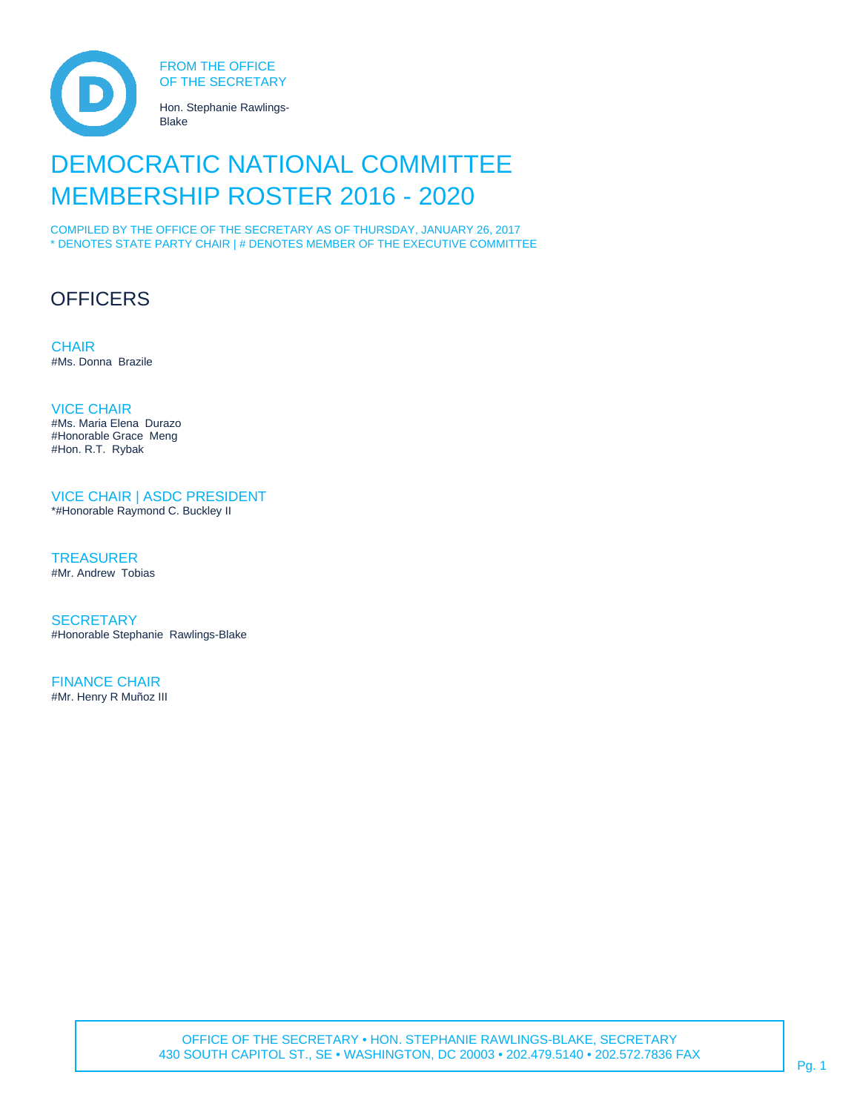

# DEMOCRATIC NATIONAL COMMITTEE MEMBERSHIP ROSTER 2016 - 2020

COMPILED BY THE OFFICE OF THE SECRETARY AS OF THURSDAY, JANUARY 26, 2017 \* DENOTES STATE PARTY CHAIR | # DENOTES MEMBER OF THE EXECUTIVE COMMITTEE

# **OFFICERS**

**CHAIR** #Ms. Donna Brazile

VICE CHAIR #Ms. Maria Elena Durazo #Honorable Grace Meng #Hon. R.T. Rybak

VICE CHAIR | ASDC PRESIDENT

\*#Honorable Raymond C. Buckley II

**TREASURER** #Mr. Andrew Tobias

**SECRETARY** #Honorable Stephanie Rawlings-Blake

FINANCE CHAIR #Mr. Henry R Muñoz III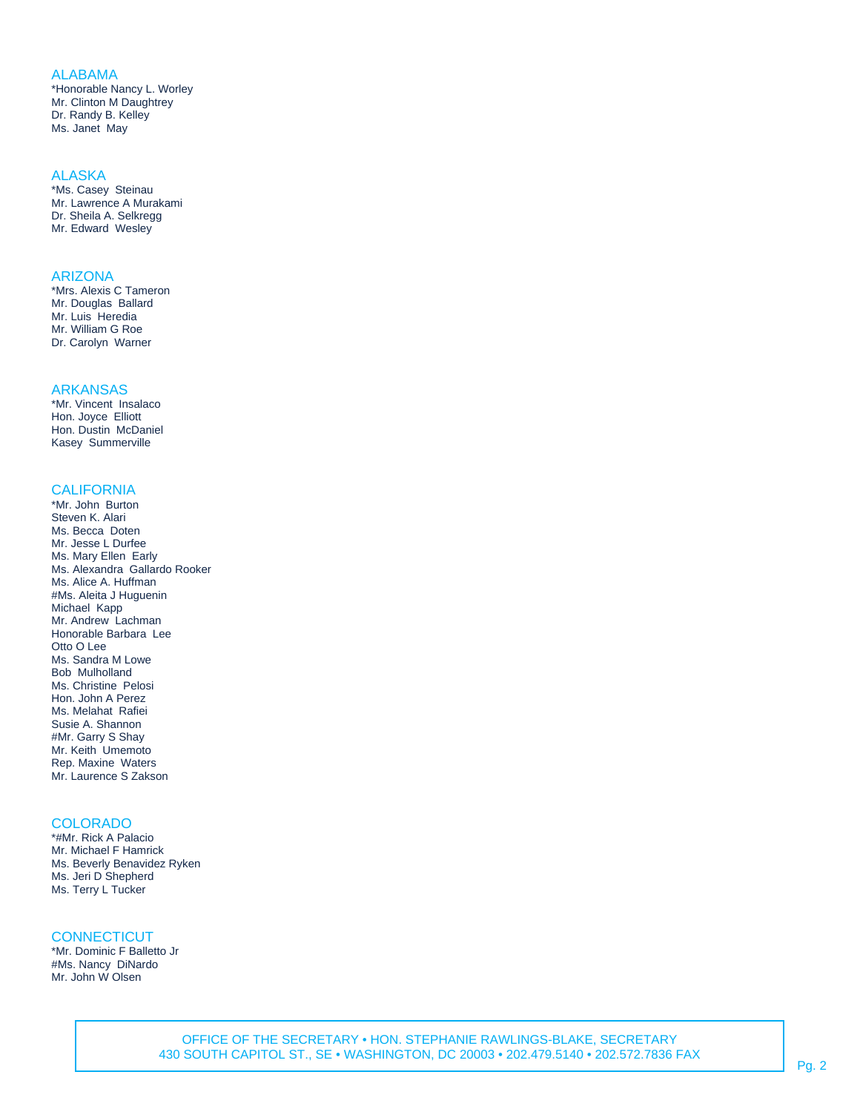## ALABAMA

\*Honorable Nancy L. Worley Mr. Clinton M Daughtrey Dr. Randy B. Kelley Ms. Janet May

#### **ALASKA**

\*Ms. Casey Steinau Mr. Lawrence A Murakami Dr. Sheila A. Selkregg Mr. Edward Wesley

#### ARIZONA

\*Mrs. Alexis C Tameron Mr. Douglas Ballard Mr. Luis Heredia Mr. William G Roe Dr. Carolyn Warner

#### ARKANSAS

\*Mr. Vincent Insalaco Hon. Joyce Elliott Hon. Dustin McDaniel Kasey Summerville

#### CALIFORNIA

\*Mr. John Burton Steven K. Alari Ms. Becca Doten Mr. Jesse L Durfee Ms. Mary Ellen Early Ms. Alexandra Gallardo Rooker Ms. Alice A. Huffman #Ms. Aleita J Huguenin Michael Kapp Mr. Andrew Lachman Honorable Barbara Lee Otto O Lee Ms. Sandra M Lowe Bob Mulholland Ms. Christine Pelosi Hon. John A Perez Ms. Melahat Rafiei Susie A. Shannon #Mr. Garry S Shay Mr. Keith Umemoto Rep. Maxine Waters Mr. Laurence S Zakson

#### COLORADO

\*#Mr. Rick A Palacio Mr. Michael F Hamrick Ms. Beverly Benavidez Ryken Ms. Jeri D Shepherd Ms. Terry L Tucker

## **CONNECTICUT**

\*Mr. Dominic F Balletto Jr #Ms. Nancy DiNardo Mr. John W Olsen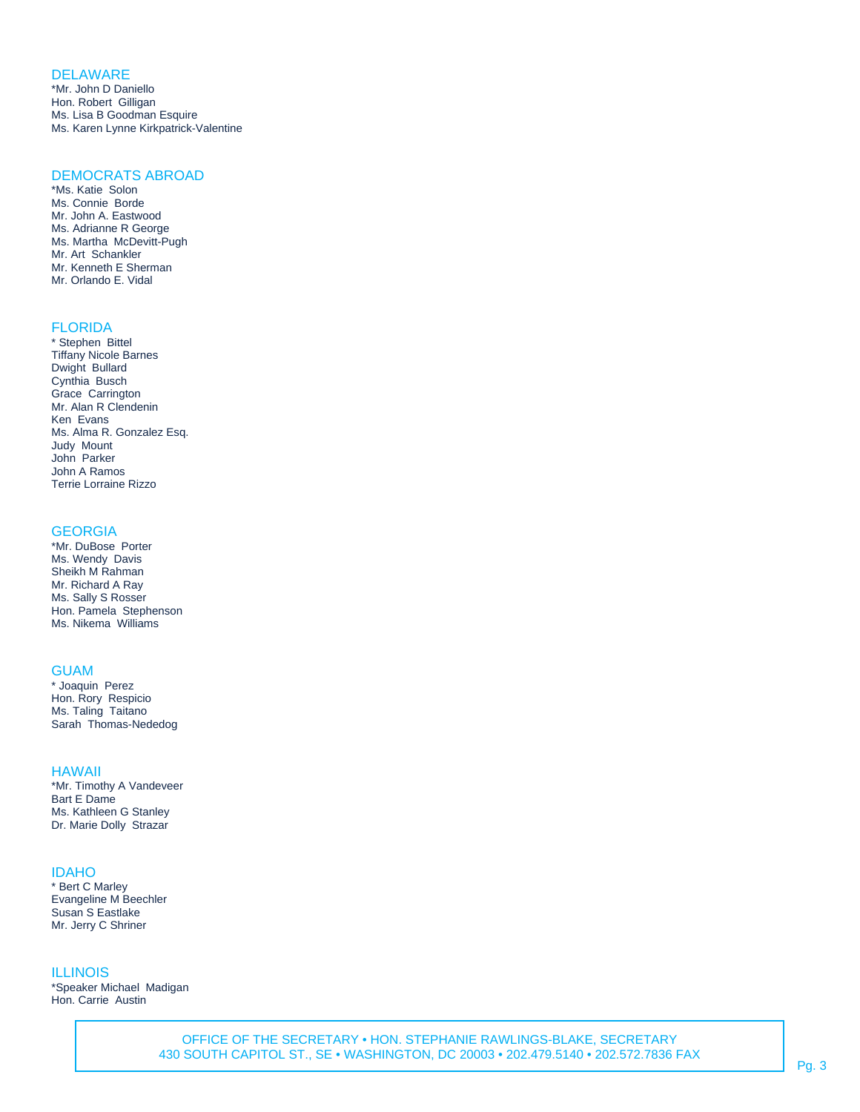## **DELAWARE**

\*Mr. John D Daniello Hon. Robert Gilligan Ms. Lisa B Goodman Esquire Ms. Karen Lynne Kirkpatrick-Valentine

# DEMOCRATS ABROAD

\*Ms. Katie Solon Ms. Connie Borde Mr. John A. Eastwood Ms. Adrianne R George Ms. Martha McDevitt-Pugh Mr. Art Schankler Mr. Kenneth E Sherman Mr. Orlando E. Vidal

# FLORIDA

\* Stephen Bittel Tiffany Nicole Barnes Dwight Bullard Cynthia Busch Grace Carrington Mr. Alan R Clendenin Ken Evans Ms. Alma R. Gonzalez Esq. Judy Mount John Parker John A Ramos Terrie Lorraine Rizzo

## **GEORGIA**

\*Mr. DuBose Porter Ms. Wendy Davis Sheikh M Rahman Mr. Richard A Ray Ms. Sally S Rosser Hon. Pamela Stephenson Ms. Nikema Williams

## **GUAM**

\* Joaquin Perez Hon. Rory Respicio Ms. Taling Taitano Sarah Thomas-Nededog

#### HAWAII

\*Mr. Timothy A Vandeveer Bart E Dame Ms. Kathleen G Stanley Dr. Marie Dolly Strazar

#### IDAHO

\* Bert C Marley Evangeline M Beechler Susan S Eastlake Mr. Jerry C Shriner

#### ILLINOIS

\*Speaker Michael Madigan Hon. Carrie Austin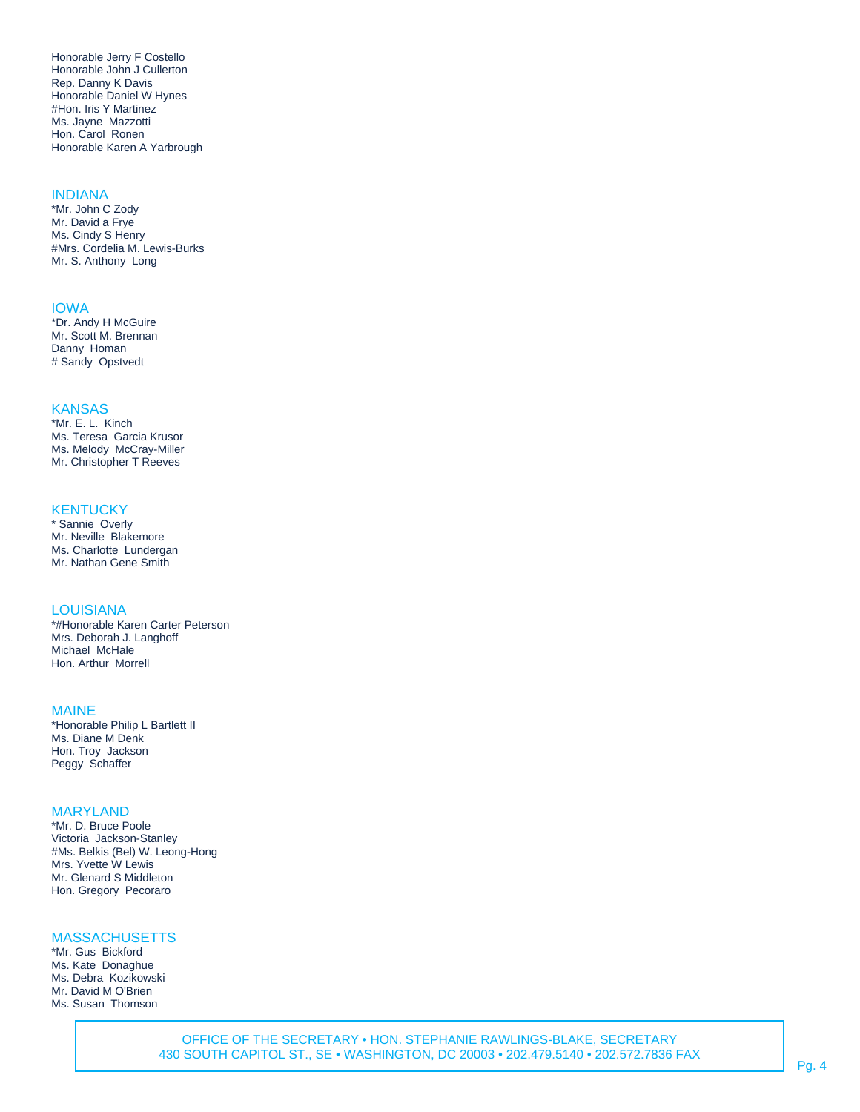Honorable Jerry F Costello Honorable John J Cullerton Rep. Danny K Davis Honorable Daniel W Hynes #Hon. Iris Y Martinez Ms. Jayne Mazzotti Hon. Carol Ronen Honorable Karen A Yarbrough

## INDIANA

\*Mr. John C Zody Mr. David a Frye Ms. Cindy S Henry #Mrs. Cordelia M. Lewis-Burks Mr. S. Anthony Long

#### IOWA

\*Dr. Andy H McGuire Mr. Scott M. Brennan Danny Homan # Sandy Opstvedt

## **KANSAS**

\*Mr. E. L. Kinch Ms. Teresa Garcia Krusor Ms. Melody McCray-Miller Mr. Christopher T Reeves

## **KENTUCKY**

\* Sannie Overly Mr. Neville Blakemore Ms. Charlotte Lundergan Mr. Nathan Gene Smith

# LOUISIANA

\*#Honorable Karen Carter Peterson Mrs. Deborah J. Langhoff Michael McHale Hon. Arthur Morrell

#### MAINE

\*Honorable Philip L Bartlett II Ms. Diane M Denk Hon. Troy Jackson Peggy Schaffer

## MARYLAND

\*Mr. D. Bruce Poole Victoria Jackson-Stanley #Ms. Belkis (Bel) W. Leong-Hong Mrs. Yvette W Lewis Mr. Glenard S Middleton Hon. Gregory Pecoraro

## **MASSACHUSETTS**

\*Mr. Gus Bickford Ms. Kate Donaghue Ms. Debra Kozikowski Mr. David M O'Brien Ms. Susan Thomson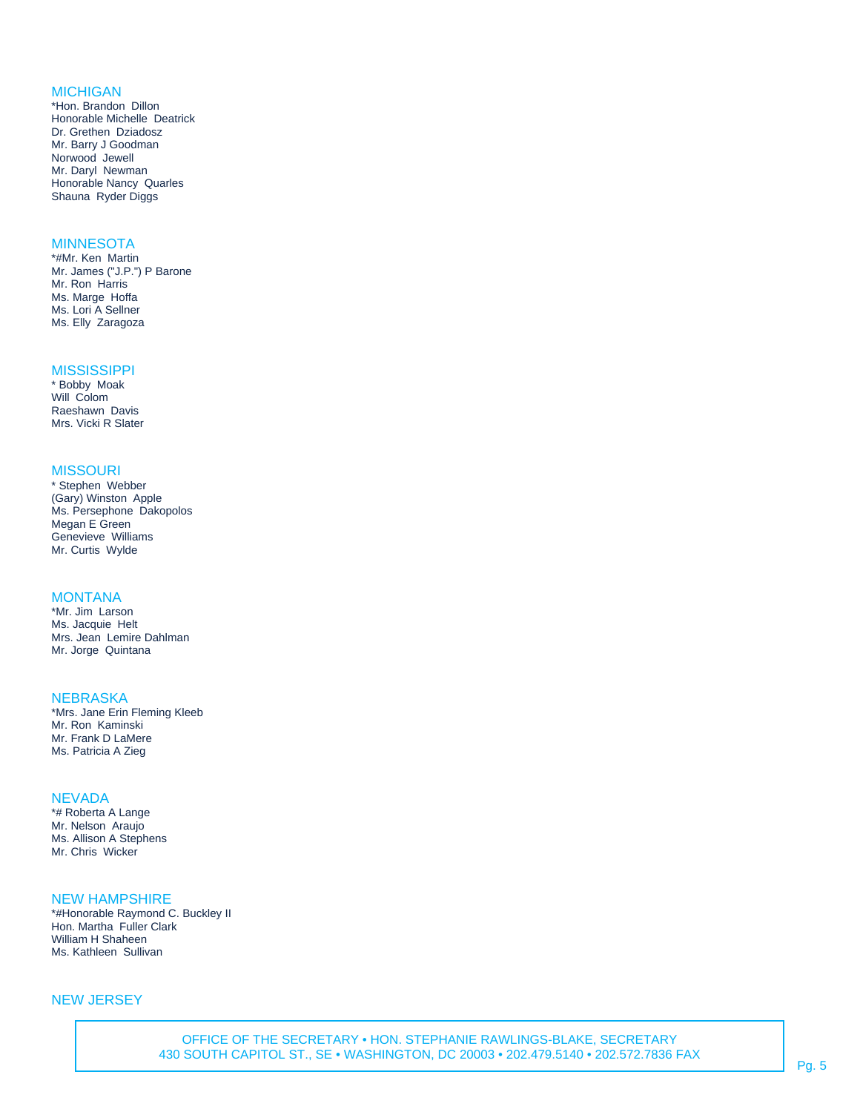## MICHIGAN

\*Hon. Brandon Dillon Honorable Michelle Deatrick Dr. Grethen Dziadosz Mr. Barry J Goodman Norwood Jewell Mr. Daryl Newman Honorable Nancy Quarles Shauna Ryder Diggs

# **MINNESOTA**

\*#Mr. Ken Martin Mr. James ("J.P.") P Barone Mr. Ron Harris Ms. Marge Hoffa Ms. Lori A Sellner Ms. Elly Zaragoza

#### **MISSISSIPPI**

\* Bobby Moak Will Colom Raeshawn Davis Mrs. Vicki R Slater

#### **MISSOURI**

\* Stephen Webber (Gary) Winston Apple Ms. Persephone Dakopolos Megan E Green Genevieve Williams Mr. Curtis Wylde

#### **MONTANA**

\*Mr. Jim Larson Ms. Jacquie Helt Mrs. Jean Lemire Dahlman Mr. Jorge Quintana

#### **NEBRASKA**

\*Mrs. Jane Erin Fleming Kleeb Mr. Ron Kaminski Mr. Frank D LaMere Ms. Patricia A Zieg

#### **NEVADA**

\*# Roberta A Lange Mr. Nelson Araujo Ms. Allison A Stephens Mr. Chris Wicker

## NEW HAMPSHIRE

\*#Honorable Raymond C. Buckley II Hon. Martha Fuller Clark William H Shaheen Ms. Kathleen Sullivan

## NEW JERSEY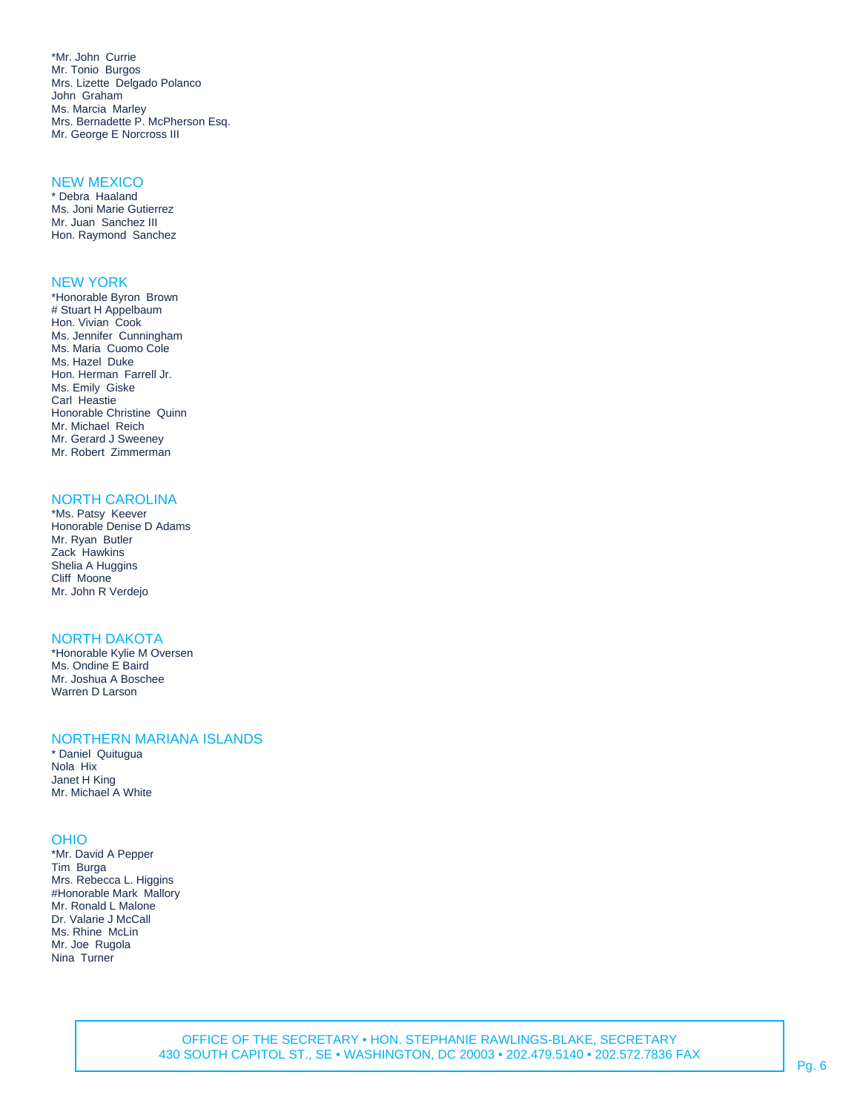\*Mr. John Currie Mr. Tonio Burgos Mrs. Lizette Delgado Polanco John Graham Ms. Marcia Marley Mrs. Bernadette P. McPherson Esq. Mr. George E Norcross III

#### NEW MEXICO

\* Debra Haaland Ms. Joni Marie Gutierrez Mr. Juan Sanchez III Hon. Raymond Sanchez

#### NEW YORK

\*Honorable Byron Brown # Stuart H Appelbaum Hon. Vivian Cook Ms. Jennifer Cunningham Ms. Maria Cuomo Cole Ms. Hazel Duke Hon. Herman Farrell Jr. Ms. Emily Giske Carl Heastie Honorable Christine Quinn Mr. Michael Reich Mr. Gerard J Sweeney Mr. Robert Zimmerman

## NORTH CAROLINA

\*Ms. Patsy Keever Honorable Denise D Adams Mr. Ryan Butler Zack Hawkins Shelia A Huggins Cliff Moone Mr. John R Verdejo

## NORTH DAKOTA

\*Honorable Kylie M Oversen Ms. Ondine E Baird Mr. Joshua A Boschee Warren D Larson

#### NORTHERN MARIANA ISLANDS

\* Daniel Quitugua Nola Hix Janet H King Mr. Michael A White

#### OHIO

\*Mr. David A Pepper Tim Burga Mrs. Rebecca L. Higgins #Honorable Mark Mallory Mr. Ronald L Malone Dr. Valarie J McCall Ms. Rhine McLin Mr. Joe Rugola Nina Turner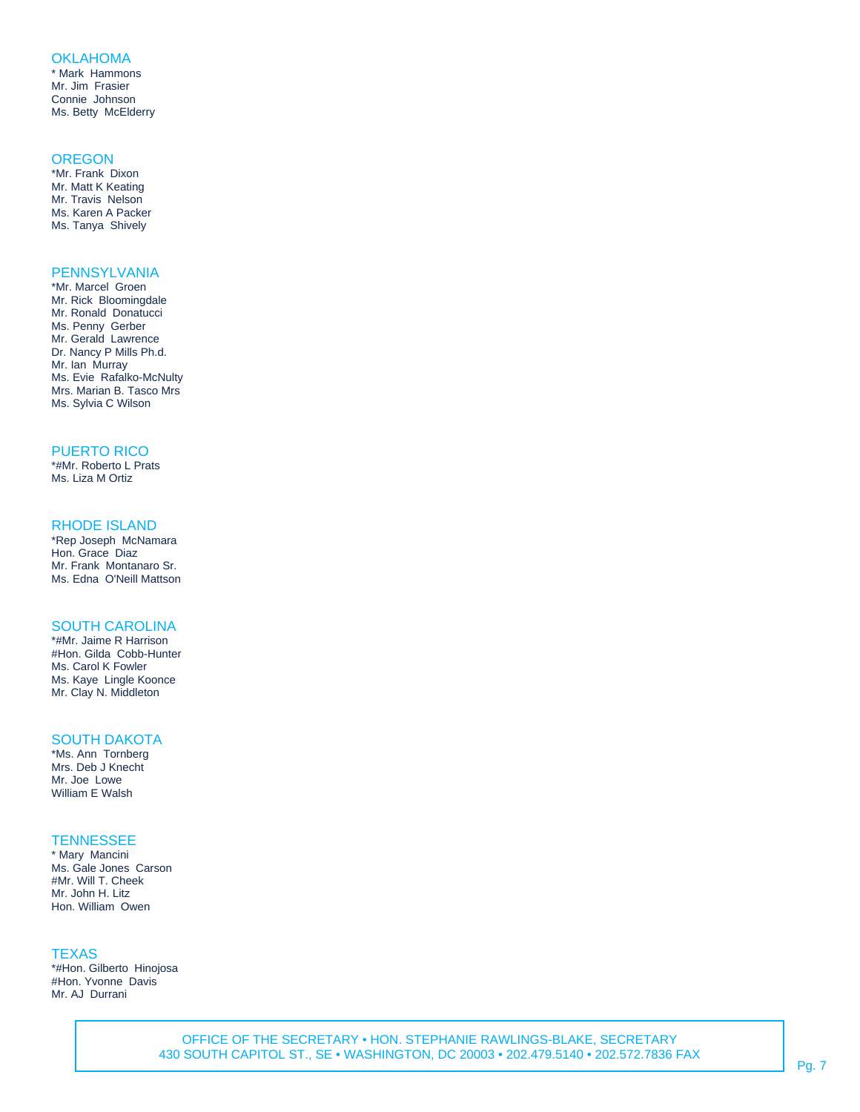## **OKLAHOMA**

\* Mark Hammons Mr. Jim Frasier Connie Johnson Ms. Betty McElderry

#### **OREGON**

\*Mr. Frank Dixon Mr. Matt K Keating Mr. Travis Nelson Ms. Karen A Packer Ms. Tanya Shively

# **PENNSYLVANIA**

\*Mr. Marcel Groen Mr. Rick Bloomingdale Mr. Ronald Donatucci Ms. Penny Gerber Mr. Gerald Lawrence Dr. Nancy P Mills Ph.d. Mr. Ian Murray Ms. Evie Rafalko-McNulty Mrs. Marian B. Tasco Mrs Ms. Sylvia C Wilson

## PUERTO RICO

\*#Mr. Roberto L Prats Ms. Liza M Ortiz

## RHODE ISLAND

\*Rep Joseph McNamara Hon. Grace Diaz Mr. Frank Montanaro Sr. Ms. Edna O'Neill Mattson

## SOUTH CAROLINA

\*#Mr. Jaime R Harrison #Hon. Gilda Cobb-Hunter Ms. Carol K Fowler Ms. Kaye Lingle Koonce Mr. Clay N. Middleton

#### SOUTH DAKOTA

\*Ms. Ann Tornberg Mrs. Deb J Knecht Mr. Joe Lowe William E Walsh

## **TENNESSEE**

\* Mary Mancini Ms. Gale Jones Carson #Mr. Will T. Cheek Mr. John H. Litz Hon. William Owen

#### **TEXAS**

\*#Hon. Gilberto Hinojosa #Hon. Yvonne Davis Mr. AJ Durrani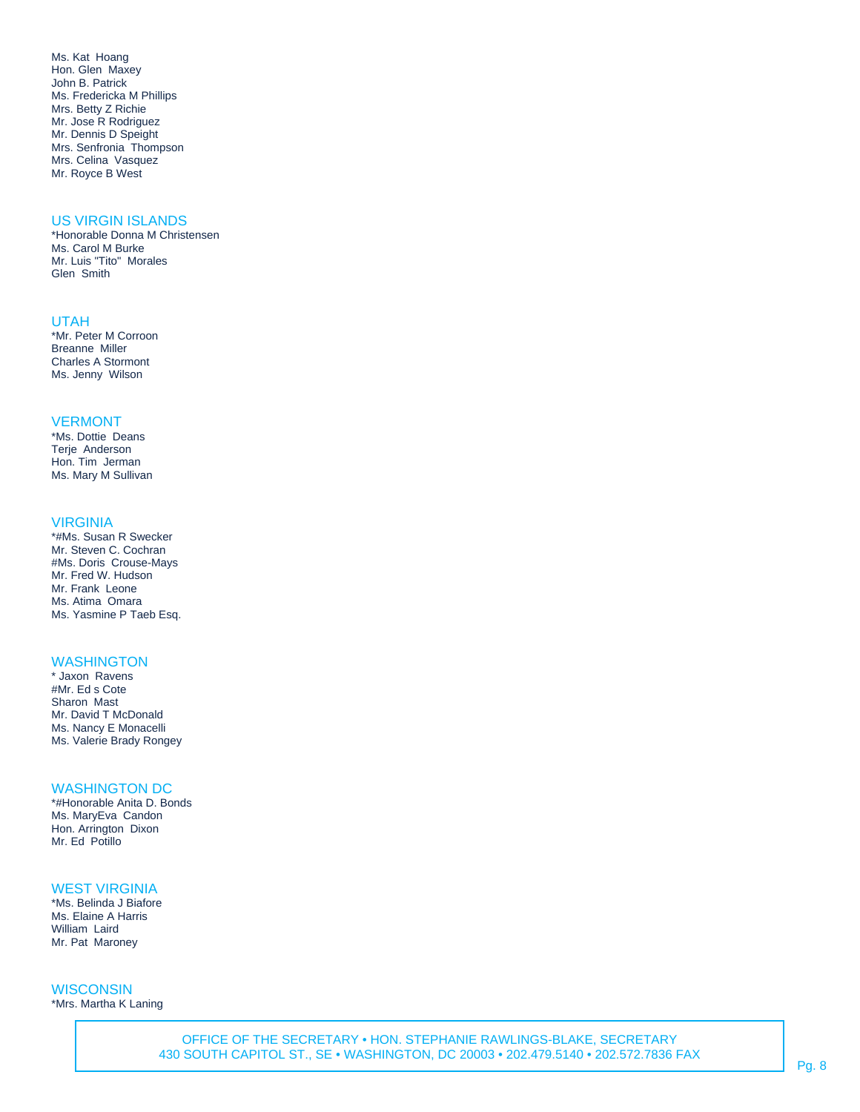Ms. Kat Hoang Hon. Glen Maxey John B. Patrick Ms. Fredericka M Phillips Mrs. Betty Z Richie Mr. Jose R Rodriguez Mr. Dennis D Speight Mrs. Senfronia Thompson Mrs. Celina Vasquez Mr. Royce B West

## US VIRGIN ISLANDS

\*Honorable Donna M Christensen Ms. Carol M Burke Mr. Luis "Tito" Morales Glen Smith

#### UTAH

\*Mr. Peter M Corroon Breanne Miller Charles A Stormont Ms. Jenny Wilson

#### VERMONT

\*Ms. Dottie Deans Terje Anderson Hon. Tim Jerman Ms. Mary M Sullivan

#### VIRGINIA

\*#Ms. Susan R Swecker Mr. Steven C. Cochran #Ms. Doris Crouse-Mays Mr. Fred W. Hudson Mr. Frank Leone Ms. Atima Omara Ms. Yasmine P Taeb Esq.

# **WASHINGTON**

\* Jaxon Ravens #Mr. Ed s Cote Sharon Mast Mr. David T McDonald Ms. Nancy E Monacelli Ms. Valerie Brady Rongey

## WASHINGTON DC

\*#Honorable Anita D. Bonds Ms. MaryEva Candon Hon. Arrington Dixon Mr. Ed Potillo

# WEST VIRGINIA

\*Ms. Belinda J Biafore Ms. Elaine A Harris William Laird Mr. Pat Maroney

**WISCONSIN** \*Mrs. Martha K Laning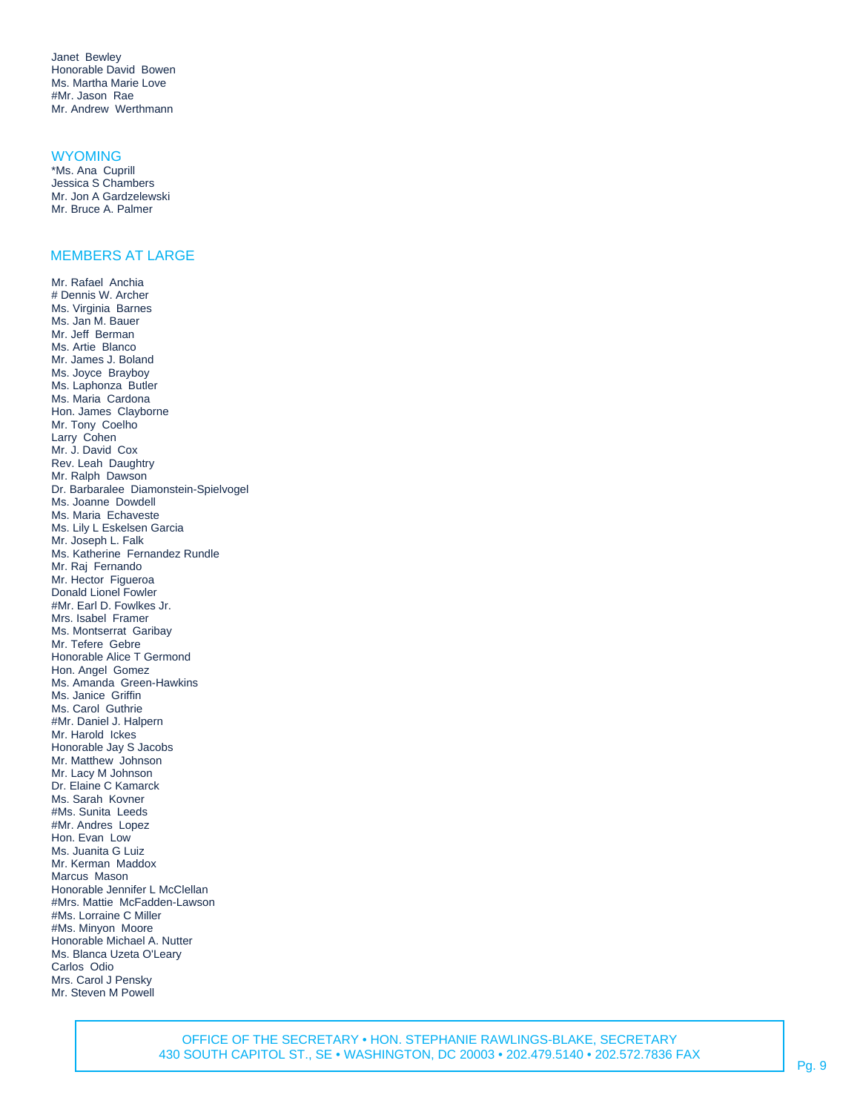Janet Bewley Honorable David Bowen Ms. Martha Marie Love #Mr. Jason Rae Mr. Andrew Werthmann

#### **WYOMING**

\*Ms. Ana Cuprill Jessica S Chambers Mr. Jon A Gardzelewski Mr. Bruce A. Palmer

## MEMBERS AT LARGE

Mr. Rafael Anchia # Dennis W. Archer Ms. Virginia Barnes Ms. Jan M. Bauer Mr. Jeff Berman Ms. Artie Blanco Mr. James J. Boland Ms. Joyce Brayboy Ms. Laphonza Butler Ms. Maria Cardona Hon. James Clayborne Mr. Tony Coelho Larry Cohen Mr. J. David Cox Rev. Leah Daughtry Mr. Ralph Dawson Dr. Barbaralee Diamonstein-Spielvogel Ms. Joanne Dowdell Ms. Maria Echaveste Ms. Lily L Eskelsen Garcia Mr. Joseph L. Falk Ms. Katherine Fernandez Rundle Mr. Raj Fernando Mr. Hector Figueroa Donald Lionel Fowler #Mr. Earl D. Fowlkes Jr. Mrs. Isabel Framer Ms. Montserrat Garibay Mr. Tefere Gebre Honorable Alice T Germond Hon. Angel Gomez Ms. Amanda Green-Hawkins Ms. Janice Griffin Ms. Carol Guthrie #Mr. Daniel J. Halpern Mr. Harold Ickes Honorable Jay S Jacobs Mr. Matthew Johnson Mr. Lacy M Johnson Dr. Elaine C Kamarck Ms. Sarah Kovner #Ms. Sunita Leeds #Mr. Andres Lopez Hon. Evan Low Ms. Juanita G Luiz Mr. Kerman Maddox Marcus Mason Honorable Jennifer L McClellan #Mrs. Mattie McFadden-Lawson #Ms. Lorraine C Miller #Ms. Minyon Moore Honorable Michael A. Nutter Ms. Blanca Uzeta O'Leary Carlos Odio Mrs. Carol J Pensky Mr. Steven M Powell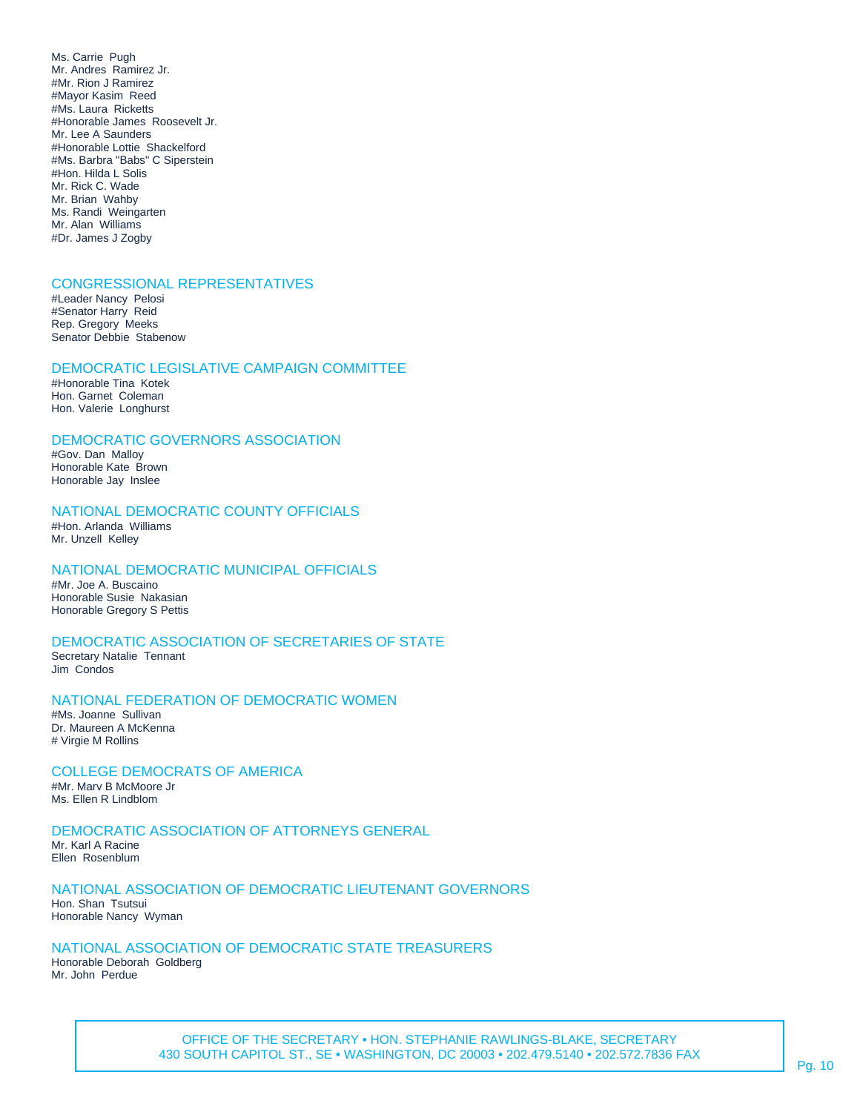Ms. Carrie Pugh Mr. Andres Ramirez Jr. #Mr. Rion J Ramirez #Mayor Kasim Reed #Ms. Laura Ricketts #Honorable James Roosevelt Jr. Mr. Lee A Saunders #Honorable Lottie Shackelford #Ms. Barbra "Babs" C Siperstein #Hon. Hilda L Solis Mr. Rick C. Wade Mr. Brian Wahby Ms. Randi Weingarten Mr. Alan Williams #Dr. James J Zogby

## CONGRESSIONAL REPRESENTATIVES

#Leader Nancy Pelosi #Senator Harry Reid Rep. Gregory Meeks Senator Debbie Stabenow

## DEMOCRATIC LEGISLATIVE CAMPAIGN COMMITTEE

#Honorable Tina Kotek Hon. Garnet Coleman Hon. Valerie Longhurst

# DEMOCRATIC GOVERNORS ASSOCIATION

#Gov. Dan Malloy Honorable Kate Brown Honorable Jay Inslee

## NATIONAL DEMOCRATIC COUNTY OFFICIALS #Hon. Arlanda Williams

Mr. Unzell Kelley

# NATIONAL DEMOCRATIC MUNICIPAL OFFICIALS

#Mr. Joe A. Buscaino Honorable Susie Nakasian Honorable Gregory S Pettis

## DEMOCRATIC ASSOCIATION OF SECRETARIES OF STATE

Secretary Natalie Tennant Jim Condos

## NATIONAL FEDERATION OF DEMOCRATIC WOMEN

#Ms. Joanne Sullivan Dr. Maureen A McKenna # Virgie M Rollins

#### COLLEGE DEMOCRATS OF AMERICA #Mr. Marv B McMoore Jr

Ms. Ellen R Lindblom

# DEMOCRATIC ASSOCIATION OF ATTORNEYS GENERAL

Mr. Karl A Racine Ellen Rosenblum

# NATIONAL ASSOCIATION OF DEMOCRATIC LIEUTENANT GOVERNORS

Hon. Shan Tsutsui Honorable Nancy Wyman

## NATIONAL ASSOCIATION OF DEMOCRATIC STATE TREASURERS

Honorable Deborah Goldberg Mr. John Perdue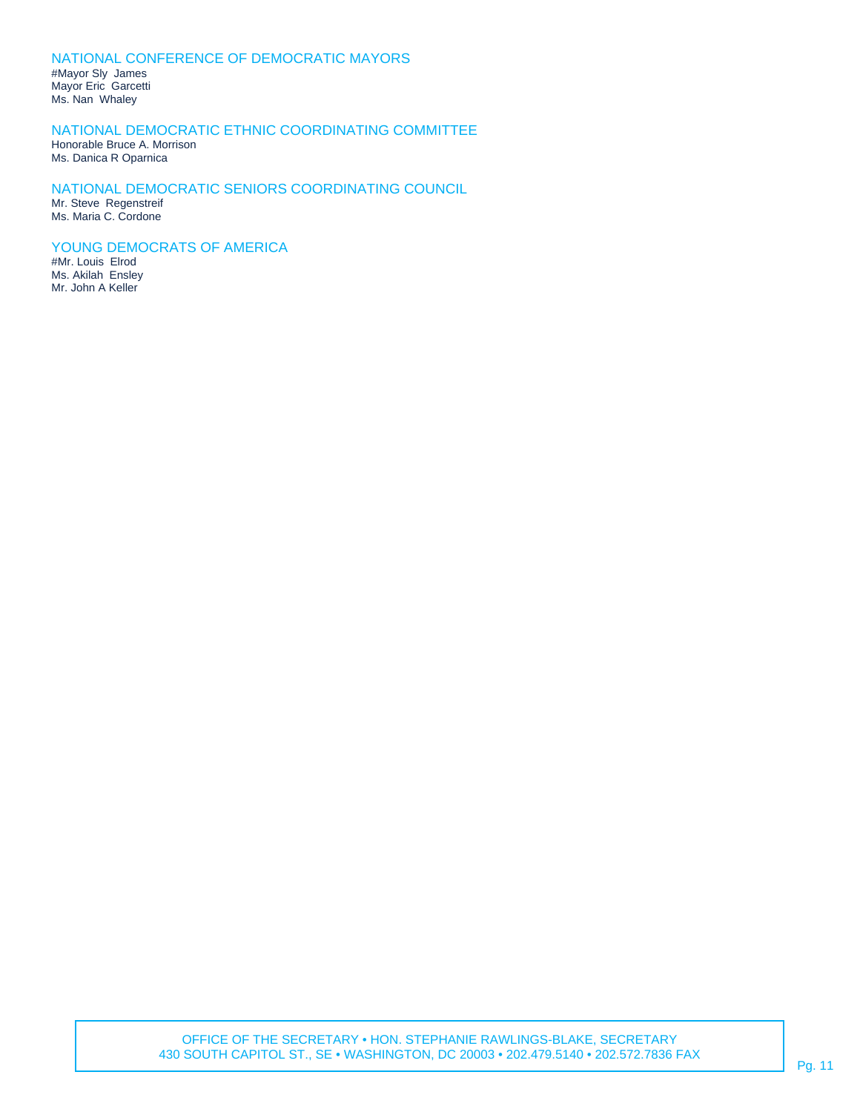# NATIONAL CONFERENCE OF DEMOCRATIC MAYORS

#Mayor Sly James Mayor Eric Garcetti Ms. Nan Whaley

# NATIONAL DEMOCRATIC ETHNIC COORDINATING COMMITTEE

Honorable Bruce A. Morrison Ms. Danica R Oparnica

#### NATIONAL DEMOCRATIC SENIORS COORDINATING COUNCIL Mr. Steve Regenstreif

Ms. Maria C. Cordone

# YOUNG DEMOCRATS OF AMERICA

#Mr. Louis Elrod Ms. Akilah Ensley Mr. John A Keller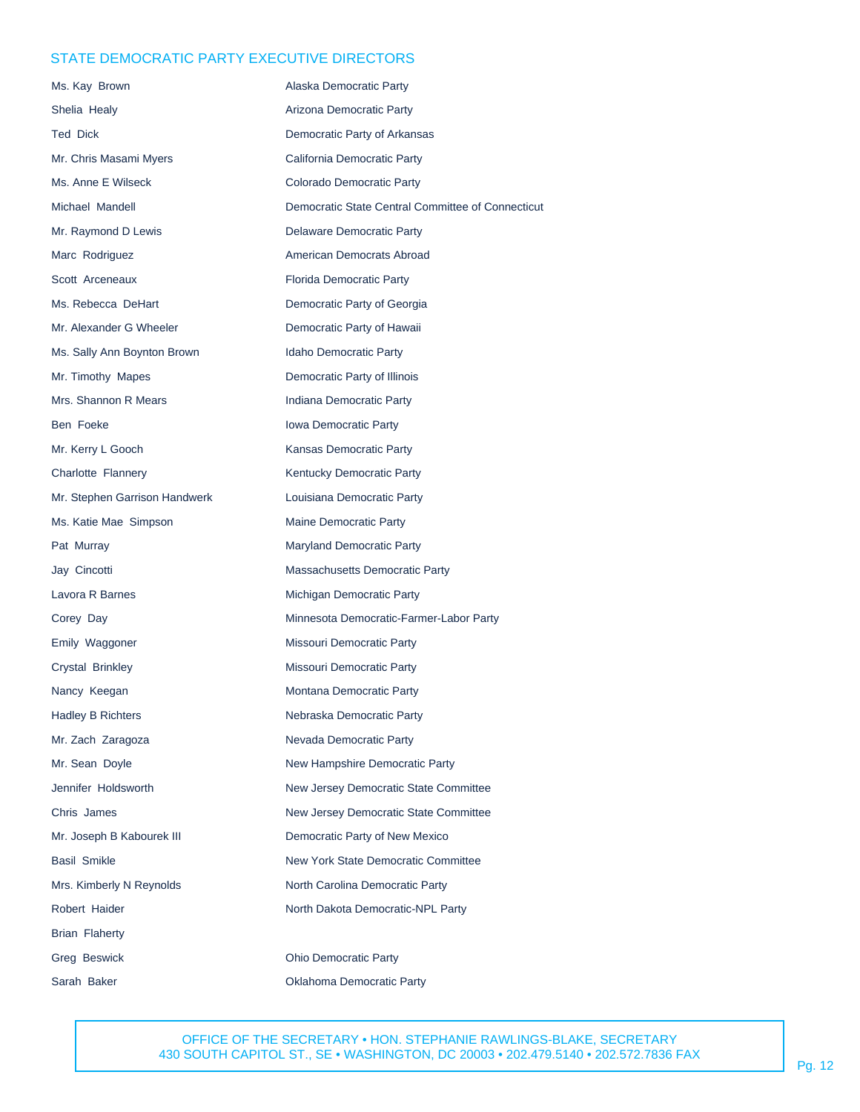# STATE DEMOCRATIC PARTY EXECUTIVE DIRECTORS

| Ms. Kay Brown                 | Alaska Democratic Party                           |
|-------------------------------|---------------------------------------------------|
| Shelia Healy                  | Arizona Democratic Party                          |
| <b>Ted Dick</b>               | Democratic Party of Arkansas                      |
| Mr. Chris Masami Myers        | California Democratic Party                       |
| Ms. Anne E Wilseck            | Colorado Democratic Party                         |
| Michael Mandell               | Democratic State Central Committee of Connecticut |
| Mr. Raymond D Lewis           | Delaware Democratic Party                         |
| Marc Rodriguez                | American Democrats Abroad                         |
| Scott Arceneaux               | Florida Democratic Party                          |
| Ms. Rebecca DeHart            | Democratic Party of Georgia                       |
| Mr. Alexander G Wheeler       | Democratic Party of Hawaii                        |
| Ms. Sally Ann Boynton Brown   | Idaho Democratic Party                            |
| Mr. Timothy Mapes             | Democratic Party of Illinois                      |
| Mrs. Shannon R Mears          | Indiana Democratic Party                          |
| Ben Foeke                     | Iowa Democratic Party                             |
| Mr. Kerry L Gooch             | Kansas Democratic Party                           |
| Charlotte Flannery            | Kentucky Democratic Party                         |
| Mr. Stephen Garrison Handwerk | Louisiana Democratic Party                        |
| Ms. Katie Mae Simpson         | Maine Democratic Party                            |
| Pat Murray                    | Maryland Democratic Party                         |
| Jay Cincotti                  | Massachusetts Democratic Party                    |
| Lavora R Barnes               | Michigan Democratic Party                         |
| Corey Day                     | Minnesota Democratic-Farmer-Labor Party           |
| Emily Waggoner                | Missouri Democratic Party                         |
| Crystal Brinkley              | Missouri Democratic Party                         |
| Nancy Keegan                  | Montana Democratic Party                          |
| Hadley B Richters             | Nebraska Democratic Party                         |
| Mr. Zach Zaragoza             | Nevada Democratic Party                           |
| Mr. Sean Doyle                | New Hampshire Democratic Party                    |
| Jennifer Holdsworth           | New Jersey Democratic State Committee             |
| Chris James                   | New Jersey Democratic State Committee             |
| Mr. Joseph B Kabourek III     | Democratic Party of New Mexico                    |
| Basil Smikle                  | New York State Democratic Committee               |
| Mrs. Kimberly N Reynolds      | North Carolina Democratic Party                   |
| Robert Haider                 | North Dakota Democratic-NPL Party                 |
| Brian Flaherty                |                                                   |
| Greg Beswick                  | <b>Ohio Democratic Party</b>                      |
| Sarah Baker                   | Oklahoma Democratic Party                         |